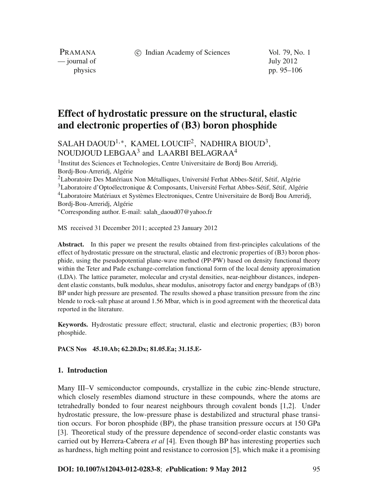c Indian Academy of Sciences Vol. 79, No. 1

PRAMANA — journal of July 2012

physics pp. 95–106

# **Effect of hydrostatic pressure on the structural, elastic and electronic properties of (B3) boron phosphide**

# SALAH DAOUD<sup>1,\*</sup>, KAMEL LOUCIF<sup>2</sup>, NADHIRA BIOUD<sup>3</sup>, NOUDJOUD LEBGAA<sup>3</sup> and LAARBI BELAGRAA<sup>4</sup>

1Institut des Sciences et Technologies, Centre Universitaire de Bordj Bou Arreridj, Bordj-Bou-Arreridj, Algérie 2Laboratoire Des Matériaux Non Métalliques, Université Ferhat Abbes-Sétif, Sétif, Algérie 3Laboratoire d'Optoélectronique & Composants, Université Ferhat Abbes-Sétif, Sétif, Algérie 4Laboratoire Matériaux et Systèmes Electroniques, Centre Universitaire de Bordj Bou Arreridj, Bordj-Bou-Arreridj, Algérie

<sup>∗</sup>Corresponding author. E-mail: salah\_daoud07@yahoo.fr

MS received 31 December 2011; accepted 23 January 2012

**Abstract.** In this paper we present the results obtained from first-principles calculations of the effect of hydrostatic pressure on the structural, elastic and electronic properties of (B3) boron phosphide, using the pseudopotential plane-wave method (PP-PW) based on density functional theory within the Teter and Pade exchange-correlation functional form of the local density approximation (LDA). The lattice parameter, molecular and crystal densities, near-neighbour distances, independent elastic constants, bulk modulus, shear modulus, anisotropy factor and energy bandgaps of (B3) BP under high pressure are presented. The results showed a phase transition pressure from the zinc blende to rock-salt phase at around 1.56 Mbar, which is in good agreement with the theoretical data reported in the literature.

**Keywords.** Hydrostatic pressure effect; structural, elastic and electronic properties; (B3) boron phosphide.

**PACS Nos 45.10.Ab; 62.20.Dx; 81.05.Ea; 31.15.E-**

# **1. Introduction**

Many III–V semiconductor compounds, crystallize in the cubic zinc-blende structure, which closely resembles diamond structure in these compounds, where the atoms are tetrahedrally bonded to four nearest neighbours through covalent bonds [1,2]. Under hydrostatic pressure, the low-pressure phase is destabilized and structural phase transition occurs. For boron phosphide (BP), the phase transition pressure occurs at 150 GPa [3]. Theoretical study of the pressure dependence of second-order elastic constants was carried out by Herrera-Cabrera *et al* [4]. Even though BP has interesting properties such as hardness, high melting point and resistance to corrosion [5], which make it a promising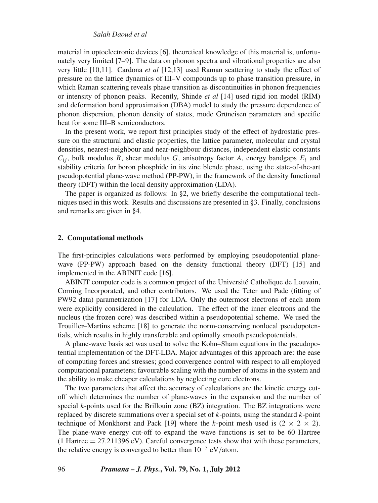# *Salah Daoud et al*

material in optoelectronic devices [6], theoretical knowledge of this material is, unfortunately very limited [7–9]. The data on phonon spectra and vibrational properties are also very little [10,11]. Cardona *et al* [12,13] used Raman scattering to study the effect of pressure on the lattice dynamics of III–V compounds up to phase transition pressure, in which Raman scattering reveals phase transition as discontinuities in phonon frequencies or intensity of phonon peaks. Recently, Shinde *et al* [14] used rigid ion model (RIM) and deformation bond approximation (DBA) model to study the pressure dependence of phonon dispersion, phonon density of states, mode Grüneisen parameters and specific heat for some III–B semiconductors.

In the present work, we report first principles study of the effect of hydrostatic pressure on the structural and elastic properties, the lattice parameter, molecular and crystal densities, nearest-neighbour and near-neighbour distances, independent elastic constants  $C_{ij}$ , bulk modulus *B*, shear modulus *G*, anisotropy factor *A*, energy bandgaps  $E_i$  and stability criteria for boron phosphide in its zinc blende phase, using the state-of-the-art pseudopotential plane-wave method (PP-PW), in the framework of the density functional theory (DFT) within the local density approximation (LDA).

The paper is organized as follows: In §2, we briefly describe the computational techniques used in this work. Results and discussions are presented in §3. Finally, conclusions and remarks are given in §4.

#### **2. Computational methods**

The first-principles calculations were performed by employing pseudopotential planewave (PP-PW) approach based on the density functional theory (DFT) [15] and implemented in the ABINIT code [16].

ABINIT computer code is a common project of the Université Catholique de Louvain, Corning Incorporated, and other contributors. We used the Teter and Pade (fitting of PW92 data) parametrization [17] for LDA. Only the outermost electrons of each atom were explicitly considered in the calculation. The effect of the inner electrons and the nucleus (the frozen core) was described within a pseudopotential scheme. We used the Trouiller–Martins scheme [18] to generate the norm-conserving nonlocal pseudopotentials, which results in highly transferable and optimally smooth pseudopotentials.

A plane-wave basis set was used to solve the Kohn–Sham equations in the pseudopotential implementation of the DFT-LDA. Major advantages of this approach are: the ease of computing forces and stresses; good convergence control with respect to all employed computational parameters; favourable scaling with the number of atoms in the system and the ability to make cheaper calculations by neglecting core electrons.

The two parameters that affect the accuracy of calculations are the kinetic energy cutoff which determines the number of plane-waves in the expansion and the number of special *k*-points used for the Brillouin zone (BZ) integration. The BZ integrations were replaced by discrete summations over a special set of *k*-points, using the standard *k*-point technique of Monkhorst and Pack [19] where the *k*-point mesh used is  $(2 \times 2 \times 2)$ . The plane-wave energy cut-off to expand the wave functions is set to be 60 Hartree (1 Hartree  $= 27.211396$  eV). Careful convergence tests show that with these parameters, the relative energy is converged to better than  $10^{-5}$  eV/atom.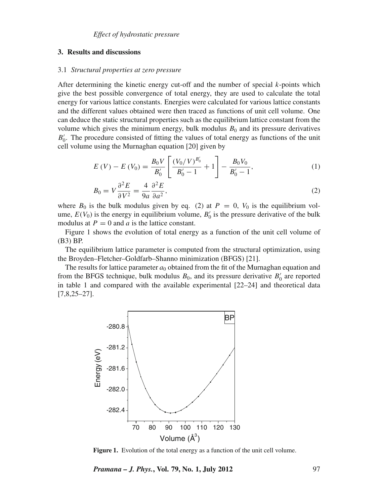# **3. Results and discussions**

#### 3.1 *Structural properties at zero pressure*

After determining the kinetic energy cut-off and the number of special *k*-points which give the best possible convergence of total energy, they are used to calculate the total energy for various lattice constants. Energies were calculated for various lattice constants and the different values obtained were then traced as functions of unit cell volume. One can deduce the static structural properties such as the equilibrium lattice constant from the volume which gives the minimum energy, bulk modulus  $B_0$  and its pressure derivatives  $B_0'$ . The procedure consisted of fitting the values of total energy as functions of the unit cell volume using the Murnaghan equation [20] given by

$$
E(V) - E(V_0) = \frac{B_0 V}{B'_0} \left[ \frac{(V_0 / V)^{B'_0}}{B'_0 - 1} + 1 \right] - \frac{B_0 V_0}{B'_0 - 1},
$$
\n(1)

$$
B_0 = V \frac{\partial^2 E}{\partial V^2} = \frac{4}{9a} \frac{\partial^2 E}{\partial a^2},\tag{2}
$$

where  $B_0$  is the bulk modulus given by eq. (2) at  $P = 0$ ,  $V_0$  is the equilibrium volume,  $E(V_0)$  is the energy in equilibrium volume,  $B'_0$  is the pressure derivative of the bulk modulus at  $P = 0$  and *a* is the lattice constant.

Figure 1 shows the evolution of total energy as a function of the unit cell volume of (B3) BP.

The equilibrium lattice parameter is computed from the structural optimization, using the Broyden–Fletcher–Goldfarb–Shanno minimization (BFGS) [21].

The results for lattice parameter  $a_0$  obtained from the fit of the Murnaghan equation and from the BFGS technique, bulk modulus  $B_0$ , and its pressure derivative  $B'_0$  are reported in table 1 and compared with the available experimental [22–24] and theoretical data [7,8,25–27].



**Figure 1.** Evolution of the total energy as a function of the unit cell volume.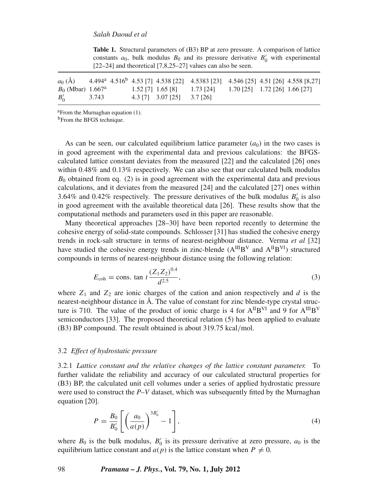| constants $a_0$ , bulk modulus $B_0$ and its pressure derivative $B_0$ with experimental<br>$[22-24]$ and theoretical $[7,8,25-27]$ values can also be seen. |       |                                                                                                                                                                                                                                          |  |  |  |  |  |  |  |  |  |  |
|--------------------------------------------------------------------------------------------------------------------------------------------------------------|-------|------------------------------------------------------------------------------------------------------------------------------------------------------------------------------------------------------------------------------------------|--|--|--|--|--|--|--|--|--|--|
| $B_0$ (Mbar) 1.667 <sup>a</sup><br>$B'_{0}$                                                                                                                  | 3.743 | $a_0(\mathring{A})$ 4.494 <sup>a</sup> 4.516 <sup>b</sup> 4.53 [7] 4.538 [22] 4.5383 [23] 4.546 [25] 4.51 [26] 4.558 [8,27]<br>$1.52$ [7] $1.65$ [8] $1.73$ [24] $1.70$ [25] $1.72$ [26] $1.66$ [27]<br>$4.3$ [7] $3.07$ [25] $3.7$ [26] |  |  |  |  |  |  |  |  |  |  |

**Table 1.** Structural parameters of (B3) BP at zero pressure. A comparison of lattice constants  $a_0$ , bulk modulus  $B_0$  and its pressure derivative  $B_0$ <sup>'</sup>  $v'_0$  with experimental

aFrom the Murnaghan equation (1).

<sup>b</sup>From the BFGS technique.

As can be seen, our calculated equilibrium lattice parameter  $(a<sub>0</sub>)$  in the two cases is in good agreement with the experimental data and previous calculations: the BFGScalculated lattice constant deviates from the measured [22] and the calculated [26] ones within 0.48% and 0.13% respectively. We can also see that our calculated bulk modulus  $B_0$  obtained from eq. (2) is in good agreement with the experimental data and previous calculations, and it deviates from the measured [24] and the calculated [27] ones within 3.64% and 0.42% respectively. The pressure derivatives of the bulk modulus  $B'_0$  is also in good agreement with the available theoretical data [26]. These results show that the computational methods and parameters used in this paper are reasonable.

Many theoretical approaches [28–30] have been reported recently to determine the cohesive energy of solid-state compounds. Schlosser [31] has studied the cohesive energy trends in rock-salt structure in terms of nearest-neighbour distance. Verma *et al* [32] have studied the cohesive energy trends in zinc-blende  $(A^{III}B^{V}$  and  $A^{II}B^{VI})$  structured compounds in terms of nearest-neighbour distance using the following relation:

$$
E_{\rm coh} = \text{cons. tan } t \frac{(Z_1 Z_2)^{0.4}}{d^{2.5}},\tag{3}
$$

where  $Z_1$  and  $Z_2$  are ionic charges of the cation and anion respectively and *d* is the nearest-neighbour distance in Å. The value of constant for zinc blende-type crystal structure is 710. The value of the product of ionic charge is 4 for  $A^{II}B^{VI}$  and 9 for  $A^{III}B^{V}$ semiconductors [33]. The proposed theoretical relation (5) has been applied to evaluate (B3) BP compound. The result obtained is about 319.75 kcal/mol.

# 3.2 *Effect of hydrostatic pressure*

3.2.1 *Lattice constant and the relati*v*e changes of the lattice constant parameter.* To further validate the reliability and accuracy of our calculated structural properties for (B3) BP, the calculated unit cell volumes under a series of applied hydrostatic pressure were used to construct the *P*–*V* dataset, which was subsequently fitted by the Murnaghan equation [20].

$$
P = \frac{B_0}{B'_0} \left[ \left( \frac{a_0}{a(p)} \right)^{3B'_0} - 1 \right],
$$
 (4)

where  $B_0$  is the bulk modulus,  $B'_0$  is its pressure derivative at zero pressure,  $a_0$  is the equilibrium lattice constant and  $a(p)$  is the lattice constant when  $P \neq 0$ .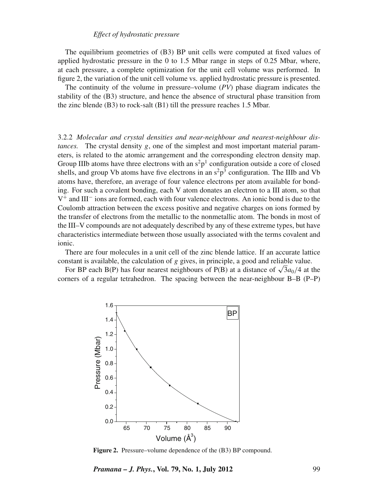#### *Effect of hydrostatic pressure*

The equilibrium geometries of (B3) BP unit cells were computed at fixed values of applied hydrostatic pressure in the 0 to 1.5 Mbar range in steps of 0.25 Mbar, where, at each pressure, a complete optimization for the unit cell volume was performed. In figure 2, the variation of the unit cell volume vs. applied hydrostatic pressure is presented.

The continuity of the volume in pressure–volume (*PV*) phase diagram indicates the stability of the (B3) structure, and hence the absence of structural phase transition from the zinc blende (B3) to rock-salt (B1) till the pressure reaches 1.5 Mbar.

3.2.2 *Molecular and crystal densities and near-neighbour and nearest-neighbour distances.* The crystal density *g*, one of the simplest and most important material parameters, is related to the atomic arrangement and the corresponding electron density map. Group IIIb atoms have three electrons with an  $s^2p^1$  configuration outside a core of closed shells, and group Vb atoms have five electrons in an  $s^2p^3$  configuration. The IIIb and Vb atoms have, therefore, an average of four valence electrons per atom available for bonding. For such a covalent bonding, each V atom donates an electron to a III atom, so that V<sup>+</sup> and III<sup>−</sup> ions are formed, each with four valence electrons. An ionic bond is due to the Coulomb attraction between the excess positive and negative charges on ions formed by the transfer of electrons from the metallic to the nonmetallic atom. The bonds in most of the III–V compounds are not adequately described by any of these extreme types, but have characteristics intermediate between those usually associated with the terms covalent and ionic.

There are four molecules in a unit cell of the zinc blende lattice. If an accurate lattice constant is available, the calculation of *g* gives, in principle, a good and reliable value.

For BP each B(P) has four nearest neighbours of P(B) at a distance of  $\sqrt{3}a_0/4$  at the corners of a regular tetrahedron. The spacing between the near-neighbour B–B (P–P)



**Figure 2.** Pressure–volume dependence of the (B3) BP compound.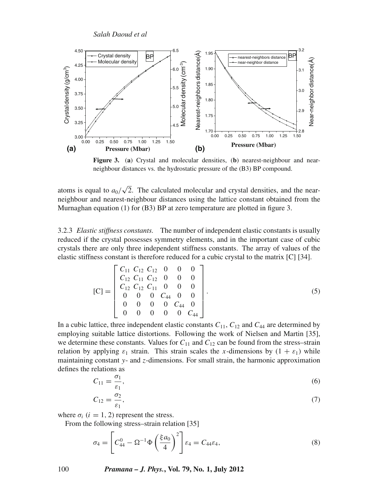

**Figure 3.** (**a**) Crystal and molecular densities, (**b**) nearest-neighbour and nearneighbour distances vs. the hydrostatic pressure of the (B3) BP compound.

atoms is equal to  $a_0/\sqrt{2}$ . The calculated molecular and crystal densities, and the nearneighbour and nearest-neighbour distances using the lattice constant obtained from the Murnaghan equation (1) for (B3) BP at zero temperature are plotted in figure 3.

3.2.3 *Elastic stiffness constants.* The number of independent elastic constants is usually reduced if the crystal possesses symmetry elements, and in the important case of cubic crystals there are only three independent stiffness constants. The array of values of the elastic stiffness constant is therefore reduced for a cubic crystal to the matrix [C] [34].

$$
[\mathbf{C}] = \begin{bmatrix} C_{11} & C_{12} & C_{12} & 0 & 0 & 0 \\ C_{12} & C_{11} & C_{12} & 0 & 0 & 0 \\ C_{12} & C_{12} & C_{11} & 0 & 0 & 0 \\ 0 & 0 & 0 & C_{44} & 0 & 0 \\ 0 & 0 & 0 & 0 & C_{44} & 0 \\ 0 & 0 & 0 & 0 & 0 & C_{44} \end{bmatrix}.
$$
 (5)

In a cubic lattice, three independent elastic constants  $C_{11}$ ,  $C_{12}$  and  $C_{44}$  are determined by employing suitable lattice distortions. Following the work of Nielsen and Martin [35], we determine these constants. Values for  $C_{11}$  and  $C_{12}$  can be found from the stress–strain relation by applying  $\varepsilon_1$  strain. This strain scales the *x*-dimensions by  $(1 + \varepsilon_1)$  while maintaining constant *y*- and *z*-dimensions. For small strain, the harmonic approximation defines the relations as

$$
C_{11} = \frac{\sigma_1}{\varepsilon_1},\tag{6}
$$

$$
C_{12} = \frac{\sigma_2}{\varepsilon_1},\tag{7}
$$

where  $\sigma_i$  ( $i = 1, 2$ ) represent the stress.

From the following stress–strain relation [35]

$$
\sigma_4 = \left[ C_{44}^0 - \Omega^{-1} \Phi \left( \frac{\xi a_0}{4} \right)^2 \right] \varepsilon_4 = C_{44} \varepsilon_4, \tag{8}
$$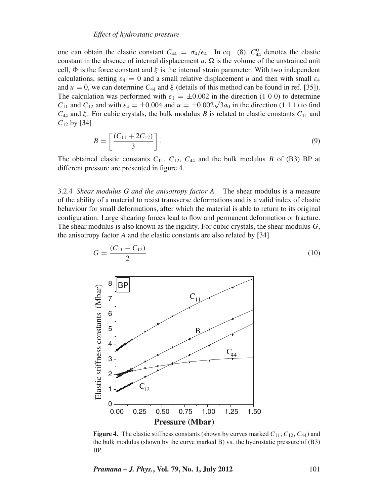#### *Effect of hydrostatic pressure*

one can obtain the elastic constant  $C_{44} = \sigma_4/\epsilon_4$ . In eq. (8),  $C_{44}^0$  denotes the elastic constant in the absence of internal displacement  $u$ ,  $\Omega$  is the volume of the unstrained unit cell,  $\Phi$  is the force constant and  $\xi$  is the internal strain parameter. With two independent calculations, setting  $\varepsilon_4 = 0$  and a small relative displacement *u* and then with small  $\varepsilon_4$ and  $u = 0$ , we can determine  $C_{44}$  and  $\xi$  (details of this method can be found in ref. [35]). The calculation was performed with  $\varepsilon_1 = \pm 0.002$  in the direction (1 0 0) to determine *C*<sub>11</sub> and *C*<sub>12</sub> and with  $\varepsilon_4 = \pm 0.004$  and  $u = \pm 0.002\sqrt{3}a_0$  in the direction (1 1 1) to find  $C_{44}$  and  $\xi$ . For cubic crystals, the bulk modulus *B* is related to elastic constants  $C_{11}$  and *C*<sup>12</sup> by [34]

$$
B = \left[\frac{(C_{11} + 2C_{12})}{3}\right].\tag{9}
$$

The obtained elastic constants  $C_{11}$ ,  $C_{12}$ ,  $C_{44}$  and the bulk modulus *B* of (B3) BP at different pressure are presented in figure 4.

3.2.4 *Shear modulus G and the anisotropy factor A.* The shear modulus is a measure of the ability of a material to resist transverse deformations and is a valid index of elastic behaviour for small deformations, after which the material is able to return to its original configuration. Large shearing forces lead to flow and permanent deformation or fracture. The shear modulus is also known as the rigidity. For cubic crystals, the shear modulus *G*, the anisotropy factor *A* and the elastic constants are also related by [34]



**Figure 4.** The elastic stiffness constants (shown by curves marked  $C_{11}$ ,  $C_{12}$ ,  $C_{44}$ ) and the bulk modulus (shown by the curve marked B) vs. the hydrostatic pressure of (B3) BP.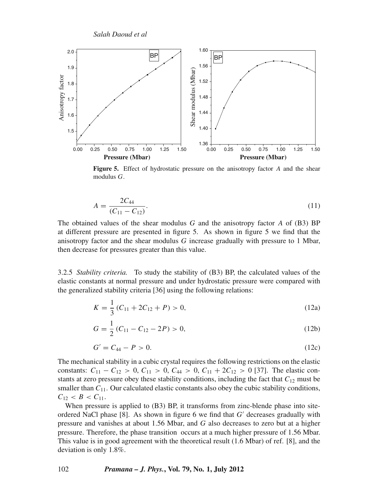*Salah Daoud et al*



**Figure 5.** Effect of hydrostatic pressure on the anisotropy factor *A* and the shear modulus *G*.

$$
A = \frac{2C_{44}}{(C_{11} - C_{12})}.\tag{11}
$$

The obtained values of the shear modulus *G* and the anisotropy factor *A* of (B3) BP at different pressure are presented in figure 5. As shown in figure 5 we find that the anisotropy factor and the shear modulus *G* increase gradually with pressure to 1 Mbar, then decrease for pressures greater than this value.

3.2.5 *Stability criteria.* To study the stability of (B3) BP, the calculated values of the elastic constants at normal pressure and under hydrostatic pressure were compared with the generalized stability criteria [36] using the following relations:

$$
K = \frac{1}{3} (C_{11} + 2C_{12} + P) > 0,
$$
\n(12a)

$$
G = \frac{1}{2} (C_{11} - C_{12} - 2P) > 0,
$$
\n(12b)

$$
G' = C_{44} - P > 0. \tag{12c}
$$

The mechanical stability in a cubic crystal requires the following restrictions on the elastic constants:  $C_{11} - C_{12} > 0$ ,  $C_{11} > 0$ ,  $C_{44} > 0$ ,  $C_{11} + 2C_{12} > 0$  [37]. The elastic constants at zero pressure obey these stability conditions, including the fact that  $C_{12}$  must be smaller than  $C_{11}$ . Our calculated elastic constants also obey the cubic stability conditions,  $C_{12} < B < C_{11}$ .

When pressure is applied to (B3) BP, it transforms from zinc-blende phase into siteordered NaCl phase  $[8]$ . As shown in figure 6 we find that  $G'$  decreases gradually with pressure and vanishes at about 1.56 Mbar, and *G* also decreases to zero but at a higher pressure. Therefore, the phase transition occurs at a much higher pressure of 1.56 Mbar. This value is in good agreement with the theoretical result (1.6 Mbar) of ref. [8], and the deviation is only 1.8%.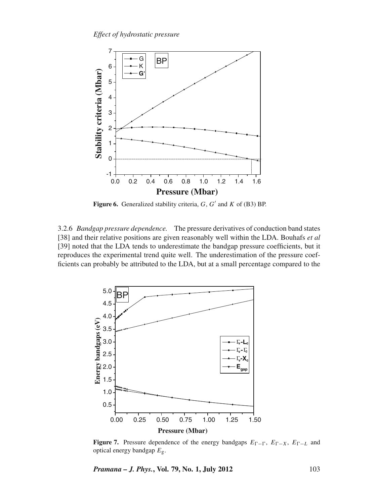

**Figure 6.** Generalized stability criteria,  $G$ ,  $G'$  and  $K$  of (B3) BP.

3.2.6 *Bandgap pressure dependence.* The pressure derivatives of conduction band states [38] and their relative positions are given reasonably well within the LDA. Bouhafs *et al* [39] noted that the LDA tends to underestimate the bandgap pressure coefficients, but it reproduces the experimental trend quite well. The underestimation of the pressure coefficients can probably be attributed to the LDA, but at a small percentage compared to the



**Figure 7.** Pressure dependence of the energy bandgaps  $E_{\Gamma}$ - $\Gamma$ ,  $E_{\Gamma}$ ,  $E_{\Gamma}$ ,  $E_{\Gamma}$  and optical energy bandgap *E*g.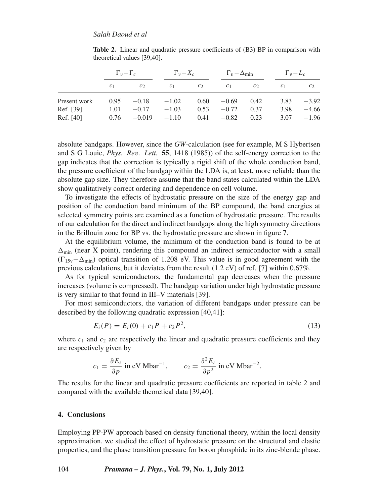|              | $\Gamma_v - \Gamma_c$ |               | $\Gamma_v - X_c$ |       | $\Gamma_v - \Delta_{\min}$ |         | $\Gamma_v - L_c$ |         |
|--------------|-----------------------|---------------|------------------|-------|----------------------------|---------|------------------|---------|
|              | c <sub>1</sub>        | $\mathcal{C}$ | c <sub>1</sub>   | $c_2$ | c <sub>1</sub>             | $c_{2}$ | c <sub>1</sub>   | $c_2$   |
| Present work | 0.95                  | $-0.18$       | $-1.02$          | 0.60  | $-0.69$                    | 0.42    | 3.83             | $-3.92$ |
| Ref. [39]    | 1.01                  | $-0.17$       | $-1.03$          | 0.53  | $-0.72$                    | 0.37    | 3.98             | $-4.66$ |
| Ref. [40]    | 0.76                  | $-0.019$      | $-1.10$          | 0.41  | $-0.82$                    | 0.23    | 3.07             | $-1.96$ |

**Table 2.** Linear and quadratic pressure coefficients of (B3) BP in comparison with theoretical values [39,40].

absolute bandgaps. However, since the *GW*-calculation (see for example, M S Hybertsen and S G Louie, *Phys. Re*v*. Lett.* **55**, 1418 (1985)) of the self-energy correction to the gap indicates that the correction is typically a rigid shift of the whole conduction band, the pressure coefficient of the bandgap within the LDA is, at least, more reliable than the absolute gap size. They therefore assume that the band states calculated within the LDA show qualitatively correct ordering and dependence on cell volume.

To investigate the effects of hydrostatic pressure on the size of the energy gap and position of the conduction band minimum of the BP compound, the band energies at selected symmetry points are examined as a function of hydrostatic pressure. The results of our calculation for the direct and indirect bandgaps along the high symmetry directions in the Brillouin zone for BP vs. the hydrostatic pressure are shown in figure 7.

At the equilibrium volume, the minimum of the conduction band is found to be at  $\Delta_{\text{min}}$  (near X point), rendering this compound an indirect semiconductor with a small  $(\Gamma_{15v} - \Delta_{min})$  optical transition of 1.208 eV. This value is in good agreement with the previous calculations, but it deviates from the result (1.2 eV) of ref. [7] within 0.67%.

As for typical semiconductors, the fundamental gap decreases when the pressure increases (volume is compressed). The bandgap variation under high hydrostatic pressure is very similar to that found in III–V materials [39].

For most semiconductors, the variation of different bandgaps under pressure can be described by the following quadratic expression [40,41]:

$$
E_i(P) = E_i(0) + c_1 P + c_2 P^2,
$$
\n(13)

where  $c_1$  and  $c_2$  are respectively the linear and quadratic pressure coefficients and they are respectively given by

$$
c_1 = \frac{\partial E_i}{\partial p}
$$
 in eV Mbar<sup>-1</sup>,  $c_2 = \frac{\partial^2 E_i}{\partial p^2}$  in eV Mbar<sup>-2</sup>.

The results for the linear and quadratic pressure coefficients are reported in table 2 and compared with the available theoretical data [39,40].

#### **4. Conclusions**

Employing PP-PW approach based on density functional theory, within the local density approximation, we studied the effect of hydrostatic pressure on the structural and elastic properties, and the phase transition pressure for boron phosphide in its zinc-blende phase.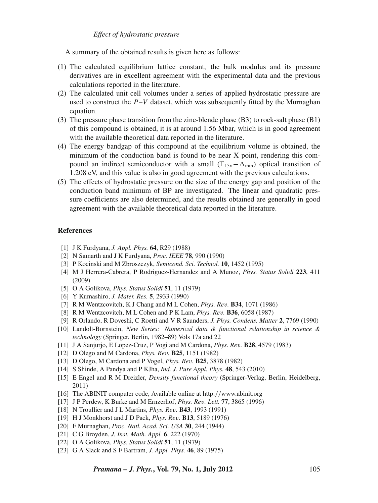# *Effect of hydrostatic pressure*

A summary of the obtained results is given here as follows:

- (1) The calculated equilibrium lattice constant, the bulk modulus and its pressure derivatives are in excellent agreement with the experimental data and the previous calculations reported in the literature.
- (2) The calculated unit cell volumes under a series of applied hydrostatic pressure are used to construct the  $P-V$  dataset, which was subsequently fitted by the Murnaghan equation.
- (3) The pressure phase transition from the zinc-blende phase (B3) to rock-salt phase (B1) of this compound is obtained, it is at around 1.56 Mbar, which is in good agreement with the available theoretical data reported in the literature.
- (4) The energy bandgap of this compound at the equilibrium volume is obtained, the minimum of the conduction band is found to be near X point, rendering this compound an indirect semiconductor with a small  $(\Gamma_{15v} - \Delta_{min})$  optical transition of 1.208 eV, and this value is also in good agreement with the previous calculations.
- (5) The effects of hydrostatic pressure on the size of the energy gap and position of the conduction band minimum of BP are investigated. The linear and quadratic pressure coefficients are also determined, and the results obtained are generally in good agreement with the available theoretical data reported in the literature.

# **References**

- [1] J K Furdyana, *J. Appl. Phys.* **64**, R29 (1988)
- [2] N Samarth and J K Furdyana, *Proc. IEEE* **78**, 990 (1990)
- [3] P Kocinski and M Zbroszczyk, *Semicond. Sci. Technol.* **10**, 1452 (1995)
- [4] M J Herrera-Cabrera, P Rodriguez-Hernandez and A Munoz, *Phys. Status Solidi* **223**, 411 (2009)
- [5] O A Golikova, *Phys. Status Solidi* **51**, 11 (1979)
- [6] Y Kumashiro, *J. Mater. Res.* **5**, 2933 (1990)
- [7] R M Wentzcovitch, K J Chang and M L Cohen, *Phys. Re*v*.* **B34**, 1071 (1986)
- [8] R M Wentzcovitch, M L Cohen and P K Lam, *Phys. Re*v*.* **B36**, 6058 (1987)
- [9] R Orlando, R Doveshi, C Roetti and V R Saunders, *J. Phys. Condens. Matter* **2**, 7769 (1990)
- [10] Landolt-Bornstein, *New Series: Numerical data & functional relationship in science & technology* (Springer, Berlin, 1982–89) Vols 17a and 22
- [11] J A Sanjurjo, E Lopez-Cruz, P Vogi and M Cardona, *Phys. Re*v*.* **B28**, 4579 (1983)
- [12] D Olego and M Cardona, *Phys. Re*v*.* **B25**, 1151 (1982)
- [13] D Olego, M Cardona and P Vogel, *Phys. Re*v*.* **B25**, 3878 (1982)
- [14] S Shinde, A Pandya and P KJha, *Ind. J. Pure Appl. Phys.* **48**, 543 (2010)
- [15] E Engel and R M Dreizler, *Density functional theory* (Springer-Verlag, Berlin, Heidelberg, 2011)
- [16] The ABINIT computer code, Available online at http://www.abinit.org
- [17] J P Perdew, K Burke and M Ernzerhof, *Phys. Re*v*. Lett.* **77**, 3865 (1996)
- [18] N Troullier and J L Martins, *Phys. Re*v*.* **B43**, 1993 (1991)
- [19] H J Monkhorst and J D Pack, *Phys. Re*v*.* **B13**, 5189 (1976)
- [20] F Murnaghan, *Proc. Natl. Acad. Sci. USA* **30**, 244 (1944)
- [21] C G Broyden, *J. Inst. Math. Appl.* **6**, 222 (1970)
- [22] O A Golikova, *Phys. Status Solidi* **51**, 11 (1979)
- [23] G A Slack and S F Bartram, *J. Appl. Phys.* **46**, 89 (1975)